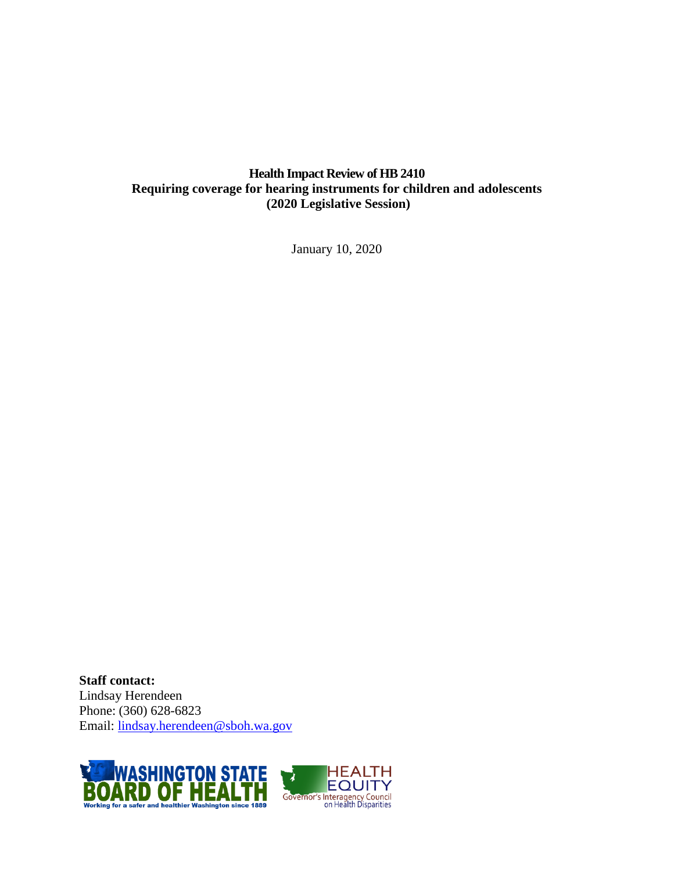## **Health Impact Review of HB 2410 Requiring coverage for hearing instruments for children and adolescents (2020 Legislative Session)**

January 10, 2020

**Staff contact:** Lindsay Herendeen Phone: (360) 628-6823 Email: [lindsay.herendeen@sboh.wa.gov](mailto:lindsay.herendeen@sboh.wa.gov)



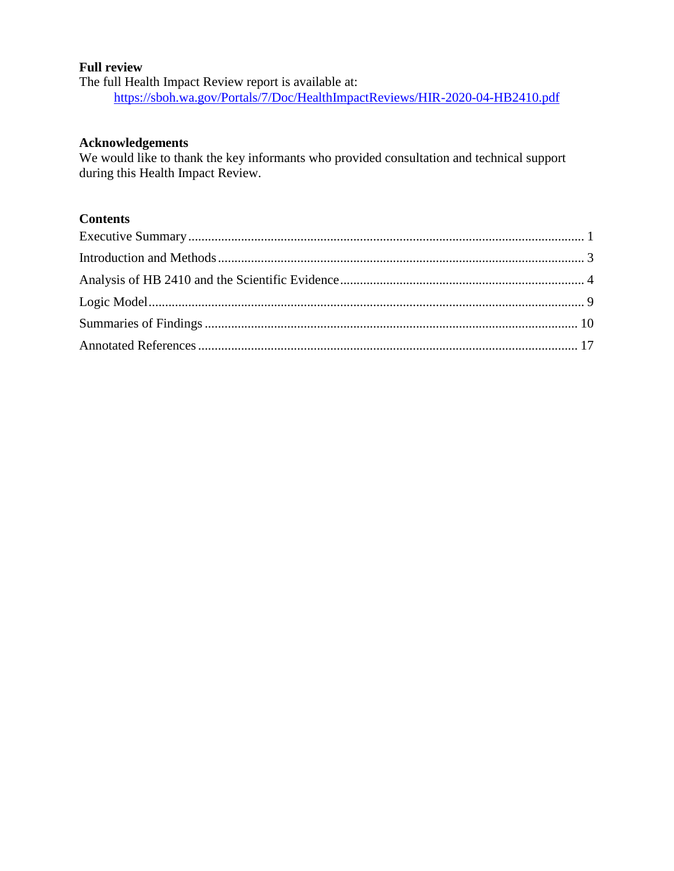#### **Full review**

The full Health Impact Review report is available at: <https://sboh.wa.gov/Portals/7/Doc/HealthImpactReviews/HIR-2020-04-HB2410.pdf>

#### **Acknowledgements**

We would like to thank the key informants who provided consultation and technical support during this Health Impact Review.

## **Contents**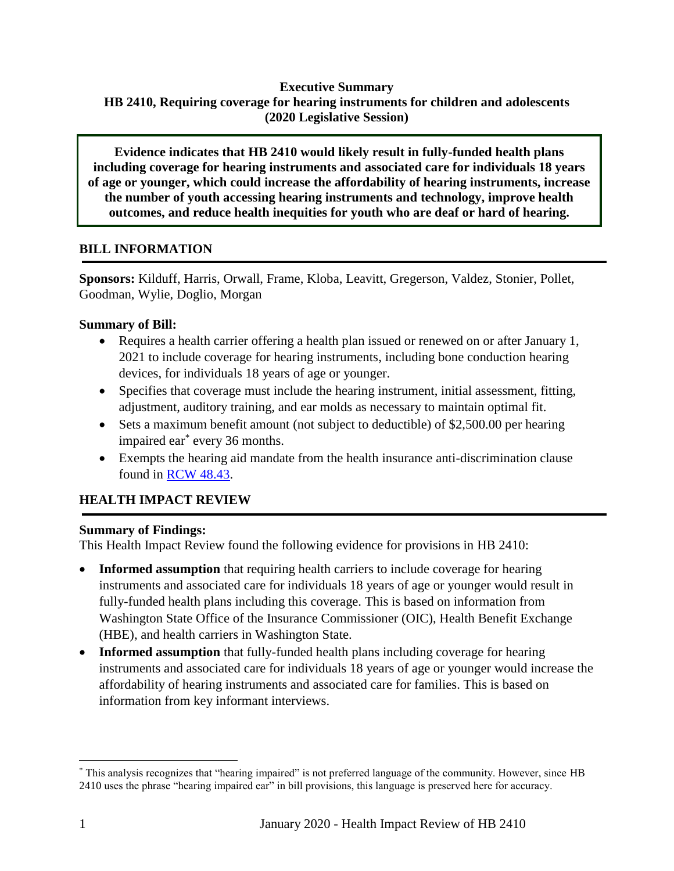## **Executive Summary HB 2410, Requiring coverage for hearing instruments for children and adolescents (2020 Legislative Session)**

**Evidence indicates that HB 2410 would likely result in fully-funded health plans including coverage for hearing instruments and associated care for individuals 18 years of age or younger, which could increase the affordability of hearing instruments, increase the number of youth accessing hearing instruments and technology, improve health outcomes, and reduce health inequities for youth who are deaf or hard of hearing.**

## **BILL INFORMATION**

**Sponsors:** Kilduff, Harris, Orwall, Frame, Kloba, Leavitt, Gregerson, Valdez, Stonier, Pollet, Goodman, Wylie, Doglio, Morgan

## **Summary of Bill:**

- Requires a health carrier offering a health plan issued or renewed on or after January 1, 2021 to include coverage for hearing instruments, including bone conduction hearing devices, for individuals 18 years of age or younger.
- Specifies that coverage must include the hearing instrument, initial assessment, fitting, adjustment, auditory training, and ear molds as necessary to maintain optimal fit.
- Sets a maximum benefit amount (not subject to deductible) of \$2,500.00 per hearing impaired ear\* every 36 months.
- Exempts the hearing aid mandate from the health insurance anti-discrimination clause found in [RCW 48.43.](https://app.leg.wa.gov/rcw/default.aspx?cite=48.43)

## **HEALTH IMPACT REVIEW**

#### **Summary of Findings:**

This Health Impact Review found the following evidence for provisions in HB 2410:

- **Informed assumption** that requiring health carriers to include coverage for hearing instruments and associated care for individuals 18 years of age or younger would result in fully-funded health plans including this coverage. This is based on information from Washington State Office of the Insurance Commissioner (OIC), Health Benefit Exchange (HBE), and health carriers in Washington State.
- **Informed assumption** that fully-funded health plans including coverage for hearing instruments and associated care for individuals 18 years of age or younger would increase the affordability of hearing instruments and associated care for families. This is based on information from key informant interviews.

 $\overline{a}$ 

<sup>\*</sup> This analysis recognizes that "hearing impaired" is not preferred language of the community. However, since HB 2410 uses the phrase "hearing impaired ear" in bill provisions, this language is preserved here for accuracy.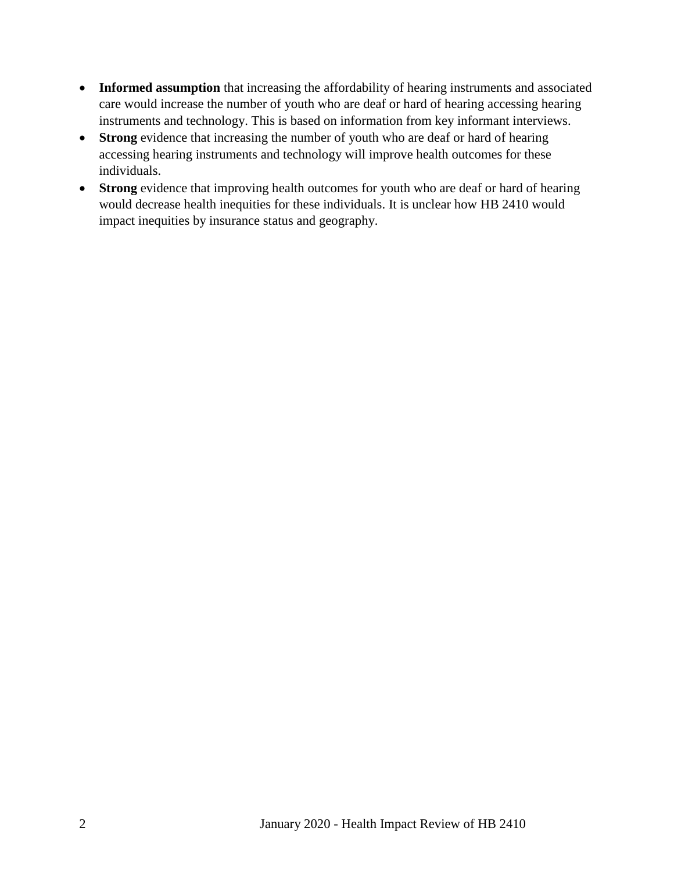- Informed assumption that increasing the affordability of hearing instruments and associated care would increase the number of youth who are deaf or hard of hearing accessing hearing instruments and technology. This is based on information from key informant interviews.
- **Strong** evidence that increasing the number of youth who are deaf or hard of hearing accessing hearing instruments and technology will improve health outcomes for these individuals.
- **Strong** evidence that improving health outcomes for youth who are deaf or hard of hearing would decrease health inequities for these individuals. It is unclear how HB 2410 would impact inequities by insurance status and geography.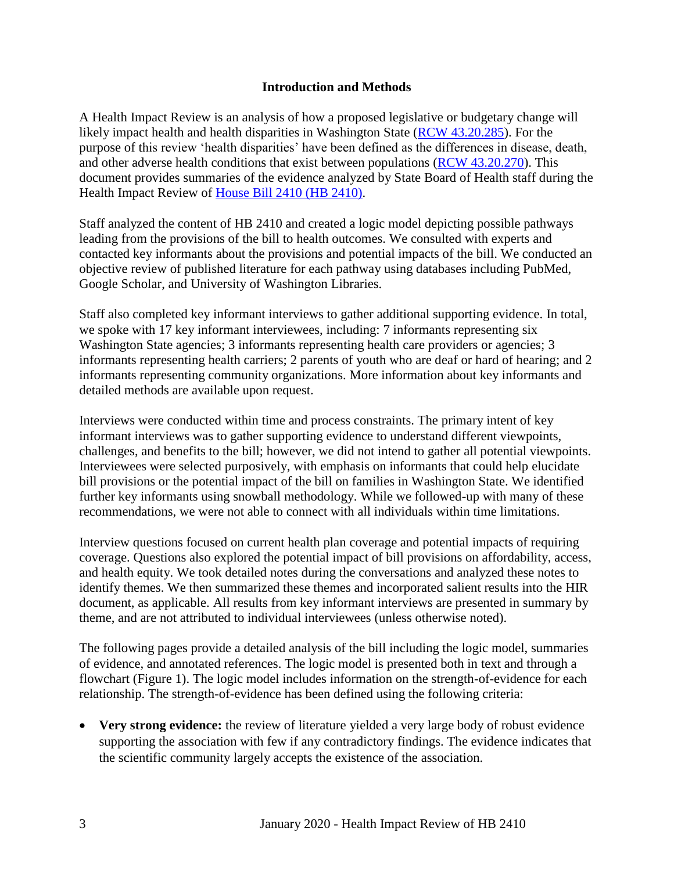#### **Introduction and Methods**

<span id="page-4-0"></span>A Health Impact Review is an analysis of how a proposed legislative or budgetary change will likely impact health and health disparities in Washington State [\(RCW 43.20.285\)](http://apps.leg.wa.gov/rcw/default.aspx?cite=43.20.285). For the purpose of this review 'health disparities' have been defined as the differences in disease, death, and other adverse health conditions that exist between populations [\(RCW 43.20.270\)](http://apps.leg.wa.gov/rcw/default.aspx?cite=43.20.270). This document provides summaries of the evidence analyzed by State Board of Health staff during the Health Impact Review of House Bill 2410 [\(HB 2410\).](https://app.leg.wa.gov/billsummary?BillNumber=2410&Year=2019)

Staff analyzed the content of HB 2410 and created a logic model depicting possible pathways leading from the provisions of the bill to health outcomes. We consulted with experts and contacted key informants about the provisions and potential impacts of the bill. We conducted an objective review of published literature for each pathway using databases including PubMed, Google Scholar, and University of Washington Libraries.

Staff also completed key informant interviews to gather additional supporting evidence. In total, we spoke with 17 key informant interviewees, including: 7 informants representing six Washington State agencies; 3 informants representing health care providers or agencies; 3 informants representing health carriers; 2 parents of youth who are deaf or hard of hearing; and 2 informants representing community organizations. More information about key informants and detailed methods are available upon request.

Interviews were conducted within time and process constraints. The primary intent of key informant interviews was to gather supporting evidence to understand different viewpoints, challenges, and benefits to the bill; however, we did not intend to gather all potential viewpoints. Interviewees were selected purposively, with emphasis on informants that could help elucidate bill provisions or the potential impact of the bill on families in Washington State. We identified further key informants using snowball methodology. While we followed-up with many of these recommendations, we were not able to connect with all individuals within time limitations.

Interview questions focused on current health plan coverage and potential impacts of requiring coverage. Questions also explored the potential impact of bill provisions on affordability, access, and health equity. We took detailed notes during the conversations and analyzed these notes to identify themes. We then summarized these themes and incorporated salient results into the HIR document, as applicable. All results from key informant interviews are presented in summary by theme, and are not attributed to individual interviewees (unless otherwise noted).

The following pages provide a detailed analysis of the bill including the logic model, summaries of evidence, and annotated references. The logic model is presented both in text and through a flowchart (Figure 1). The logic model includes information on the strength-of-evidence for each relationship. The strength-of-evidence has been defined using the following criteria:

 **Very strong evidence:** the review of literature yielded a very large body of robust evidence supporting the association with few if any contradictory findings. The evidence indicates that the scientific community largely accepts the existence of the association.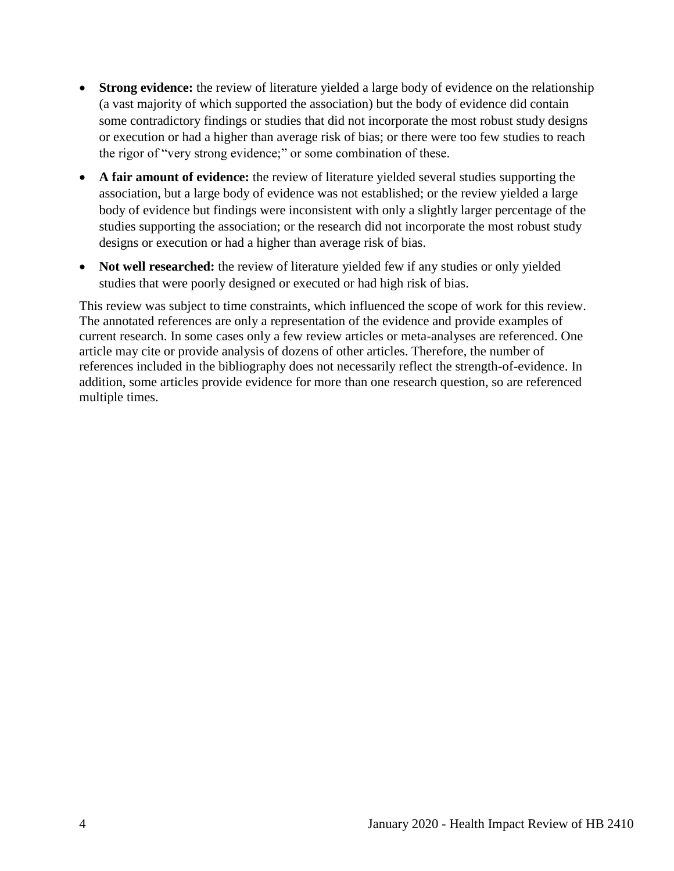- **Strong evidence:** the review of literature yielded a large body of evidence on the relationship (a vast majority of which supported the association) but the body of evidence did contain some contradictory findings or studies that did not incorporate the most robust study designs or execution or had a higher than average risk of bias; or there were too few studies to reach the rigor of "very strong evidence;" or some combination of these.
- **A fair amount of evidence:** the review of literature yielded several studies supporting the association, but a large body of evidence was not established; or the review yielded a large body of evidence but findings were inconsistent with only a slightly larger percentage of the studies supporting the association; or the research did not incorporate the most robust study designs or execution or had a higher than average risk of bias.
- Not well researched: the review of literature yielded few if any studies or only yielded studies that were poorly designed or executed or had high risk of bias.

<span id="page-5-0"></span>This review was subject to time constraints, which influenced the scope of work for this review. The annotated references are only a representation of the evidence and provide examples of current research. In some cases only a few review articles or meta-analyses are referenced. One article may cite or provide analysis of dozens of other articles. Therefore, the number of references included in the bibliography does not necessarily reflect the strength-of-evidence. In addition, some articles provide evidence for more than one research question, so are referenced multiple times.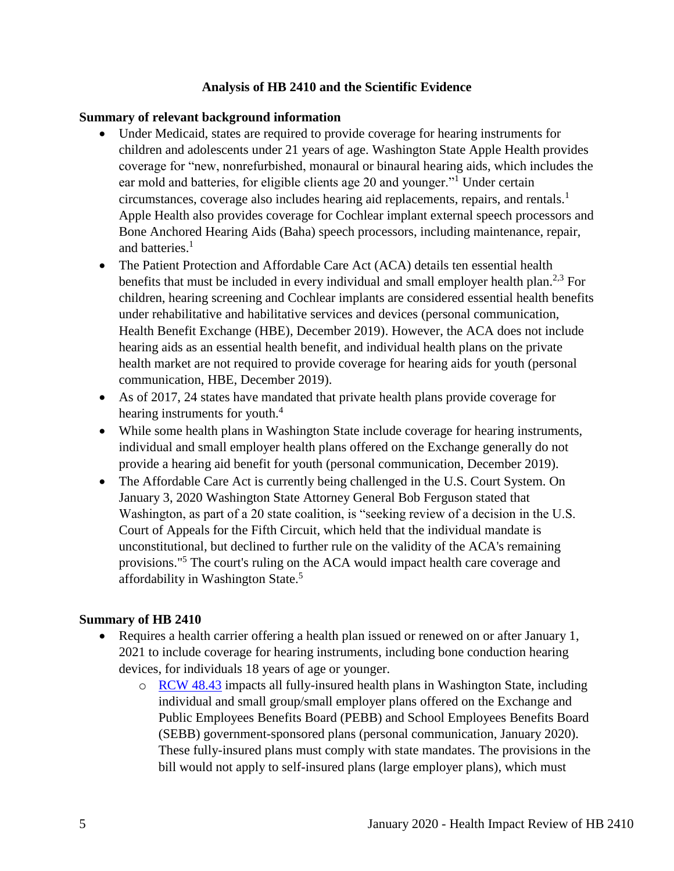#### **Analysis of HB 2410 and the Scientific Evidence**

#### **Summary of relevant background information**

- Under Medicaid, states are required to provide coverage for hearing instruments for children and adolescents under 21 years of age. Washington State Apple Health provides coverage for "new, nonrefurbished, monaural or binaural hearing aids, which includes the ear mold and batteries, for eligible clients age 20 and younger."<sup>1</sup> Under certain circumstances, coverage also includes hearing aid replacements, repairs, and rentals.<sup>1</sup> Apple Health also provides coverage for Cochlear implant external speech processors and Bone Anchored Hearing Aids (Baha) speech processors, including maintenance, repair, and batteries.<sup>1</sup>
- The Patient Protection and Affordable Care Act (ACA) details ten essential health benefits that must be included in every individual and small employer health plan.<sup>2,3</sup> For children, hearing screening and Cochlear implants are considered essential health benefits under rehabilitative and habilitative services and devices (personal communication, Health Benefit Exchange (HBE), December 2019). However, the ACA does not include hearing aids as an essential health benefit, and individual health plans on the private health market are not required to provide coverage for hearing aids for youth (personal communication, HBE, December 2019).
- As of 2017, 24 states have mandated that private health plans provide coverage for hearing instruments for youth.<sup>4</sup>
- While some health plans in Washington State include coverage for hearing instruments, individual and small employer health plans offered on the Exchange generally do not provide a hearing aid benefit for youth (personal communication, December 2019).
- The Affordable Care Act is currently being challenged in the U.S. Court System. On January 3, 2020 Washington State Attorney General Bob Ferguson stated that Washington, as part of a 20 state coalition, is "seeking review of a decision in the U.S. Court of Appeals for the Fifth Circuit, which held that the individual mandate is unconstitutional, but declined to further rule on the validity of the ACA's remaining provisions."<sup>5</sup> The court's ruling on the ACA would impact health care coverage and affordability in Washington State.<sup>5</sup>

#### **Summary of HB 2410**

- Requires a health carrier offering a health plan issued or renewed on or after January 1, 2021 to include coverage for hearing instruments, including bone conduction hearing devices, for individuals 18 years of age or younger.
	- o [RCW 48.43](https://app.leg.wa.gov/rcw/default.aspx?cite=48.43) impacts all fully-insured health plans in Washington State, including individual and small group/small employer plans offered on the Exchange and Public Employees Benefits Board (PEBB) and School Employees Benefits Board (SEBB) government-sponsored plans (personal communication, January 2020). These fully-insured plans must comply with state mandates. The provisions in the bill would not apply to self-insured plans (large employer plans), which must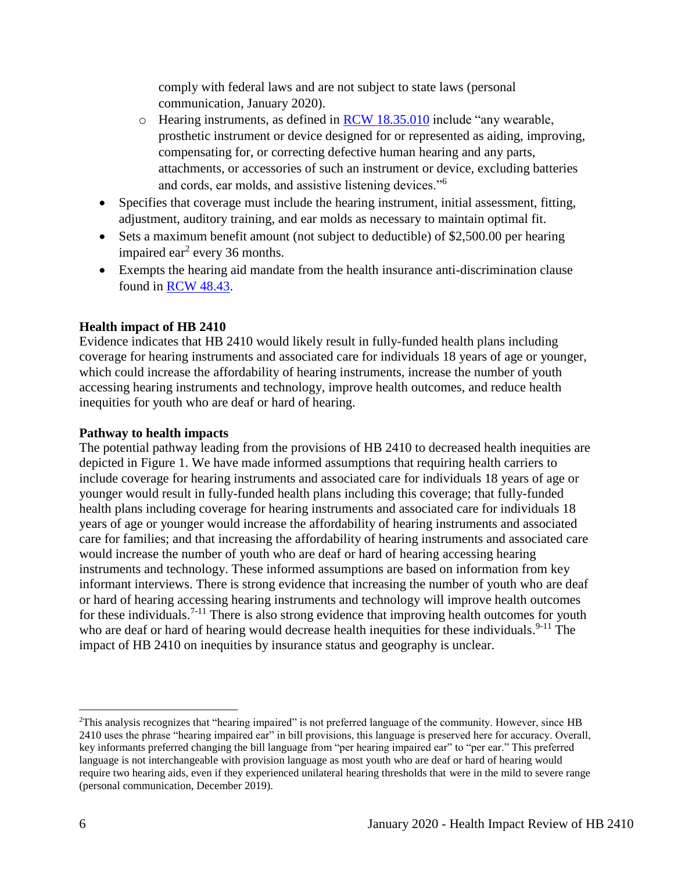comply with federal laws and are not subject to state laws (personal communication, January 2020).

- o Hearing instruments, as defined in [RCW 18.35.010](https://apps.leg.wa.gov/RCW/default.aspx?Cite=18.35.010) include "any wearable, prosthetic instrument or device designed for or represented as aiding, improving, compensating for, or correcting defective human hearing and any parts, attachments, or accessories of such an instrument or device, excluding batteries and cords, ear molds, and assistive listening devices."<sup>6</sup>
- Specifies that coverage must include the hearing instrument, initial assessment, fitting, adjustment, auditory training, and ear molds as necessary to maintain optimal fit.
- Sets a maximum benefit amount (not subject to deductible) of \$2,500.00 per hearing impaired ear<sup>2</sup> every 36 months.
- Exempts the hearing aid mandate from the health insurance anti-discrimination clause found in [RCW 48.43.](https://app.leg.wa.gov/rcw/default.aspx?cite=48.43)

## **Health impact of HB 2410**

Evidence indicates that HB 2410 would likely result in fully-funded health plans including coverage for hearing instruments and associated care for individuals 18 years of age or younger, which could increase the affordability of hearing instruments, increase the number of youth accessing hearing instruments and technology, improve health outcomes, and reduce health inequities for youth who are deaf or hard of hearing.

## **Pathway to health impacts**

The potential pathway leading from the provisions of HB 2410 to decreased health inequities are depicted in Figure 1. We have made informed assumptions that requiring health carriers to include coverage for hearing instruments and associated care for individuals 18 years of age or younger would result in fully-funded health plans including this coverage; that fully-funded health plans including coverage for hearing instruments and associated care for individuals 18 years of age or younger would increase the affordability of hearing instruments and associated care for families; and that increasing the affordability of hearing instruments and associated care would increase the number of youth who are deaf or hard of hearing accessing hearing instruments and technology. These informed assumptions are based on information from key informant interviews. There is strong evidence that increasing the number of youth who are deaf or hard of hearing accessing hearing instruments and technology will improve health outcomes for these individuals.<sup>7-11</sup> There is also strong evidence that improving health outcomes for youth who are deaf or hard of hearing would decrease health inequities for these individuals.<sup>9-11</sup> The impact of HB 2410 on inequities by insurance status and geography is unclear.

 $\overline{a}$ 

<sup>2</sup>This analysis recognizes that "hearing impaired" is not preferred language of the community. However, since HB 2410 uses the phrase "hearing impaired ear" in bill provisions, this language is preserved here for accuracy. Overall, key informants preferred changing the bill language from "per hearing impaired ear" to "per ear." This preferred language is not interchangeable with provision language as most youth who are deaf or hard of hearing would require two hearing aids, even if they experienced unilateral hearing thresholds that were in the mild to severe range (personal communication, December 2019).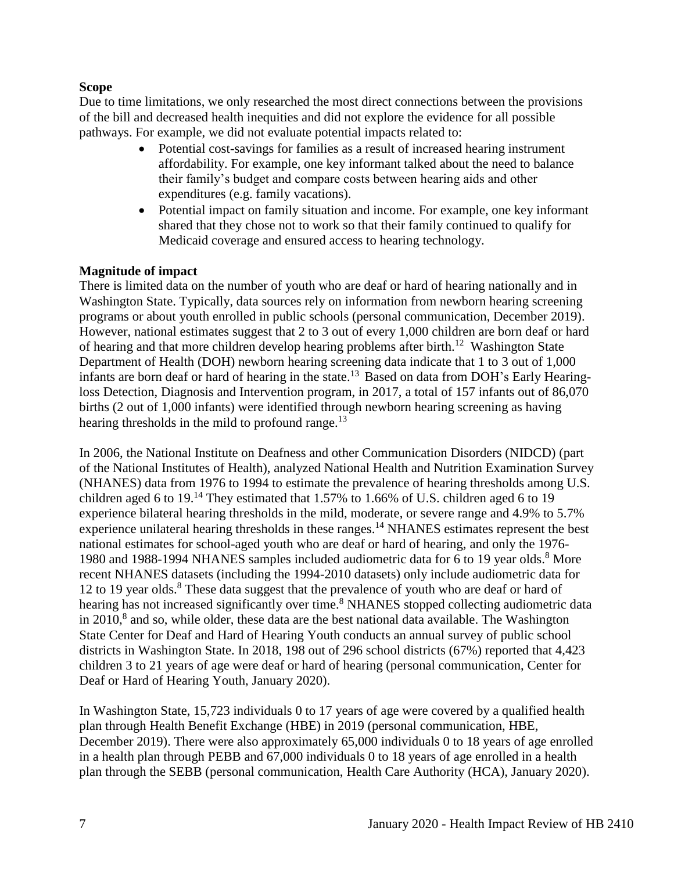#### **Scope**

Due to time limitations, we only researched the most direct connections between the provisions of the bill and decreased health inequities and did not explore the evidence for all possible pathways. For example, we did not evaluate potential impacts related to:

- Potential cost-savings for families as a result of increased hearing instrument affordability. For example, one key informant talked about the need to balance their family's budget and compare costs between hearing aids and other expenditures (e.g. family vacations).
- Potential impact on family situation and income. For example, one key informant shared that they chose not to work so that their family continued to qualify for Medicaid coverage and ensured access to hearing technology.

#### **Magnitude of impact**

There is limited data on the number of youth who are deaf or hard of hearing nationally and in Washington State. Typically, data sources rely on information from newborn hearing screening programs or about youth enrolled in public schools (personal communication, December 2019). However, national estimates suggest that 2 to 3 out of every 1,000 children are born deaf or hard of hearing and that more children develop hearing problems after birth.<sup>12</sup> Washington State Department of Health (DOH) newborn hearing screening data indicate that 1 to 3 out of 1,000 infants are born deaf or hard of hearing in the state.<sup>13</sup> Based on data from DOH's Early Hearingloss Detection, Diagnosis and Intervention program, in 2017, a total of 157 infants out of 86,070 births (2 out of 1,000 infants) were identified through newborn hearing screening as having hearing thresholds in the mild to profound range.<sup>13</sup>

In 2006, the National Institute on Deafness and other Communication Disorders (NIDCD) (part of the National Institutes of Health), analyzed National Health and Nutrition Examination Survey (NHANES) data from 1976 to 1994 to estimate the prevalence of hearing thresholds among U.S. children aged 6 to  $19<sup>14</sup>$  They estimated that 1.57% to 1.66% of U.S. children aged 6 to 19 experience bilateral hearing thresholds in the mild, moderate, or severe range and 4.9% to 5.7% experience unilateral hearing thresholds in these ranges.<sup>14</sup> NHANES estimates represent the best national estimates for school-aged youth who are deaf or hard of hearing, and only the 1976- 1980 and 1988-1994 NHANES samples included audiometric data for 6 to 19 year olds.<sup>8</sup> More recent NHANES datasets (including the 1994-2010 datasets) only include audiometric data for 12 to 19 year olds. <sup>8</sup> These data suggest that the prevalence of youth who are deaf or hard of hearing has not increased significantly over time.<sup>8</sup> NHANES stopped collecting audiometric data in  $2010$ ,<sup>8</sup> and so, while older, these data are the best national data available. The Washington State Center for Deaf and Hard of Hearing Youth conducts an annual survey of public school districts in Washington State. In 2018, 198 out of 296 school districts (67%) reported that 4,423 children 3 to 21 years of age were deaf or hard of hearing (personal communication, Center for Deaf or Hard of Hearing Youth, January 2020).

In Washington State, 15,723 individuals 0 to 17 years of age were covered by a qualified health plan through Health Benefit Exchange (HBE) in 2019 (personal communication, HBE, December 2019). There were also approximately 65,000 individuals 0 to 18 years of age enrolled in a health plan through PEBB and 67,000 individuals 0 to 18 years of age enrolled in a health plan through the SEBB (personal communication, Health Care Authority (HCA), January 2020).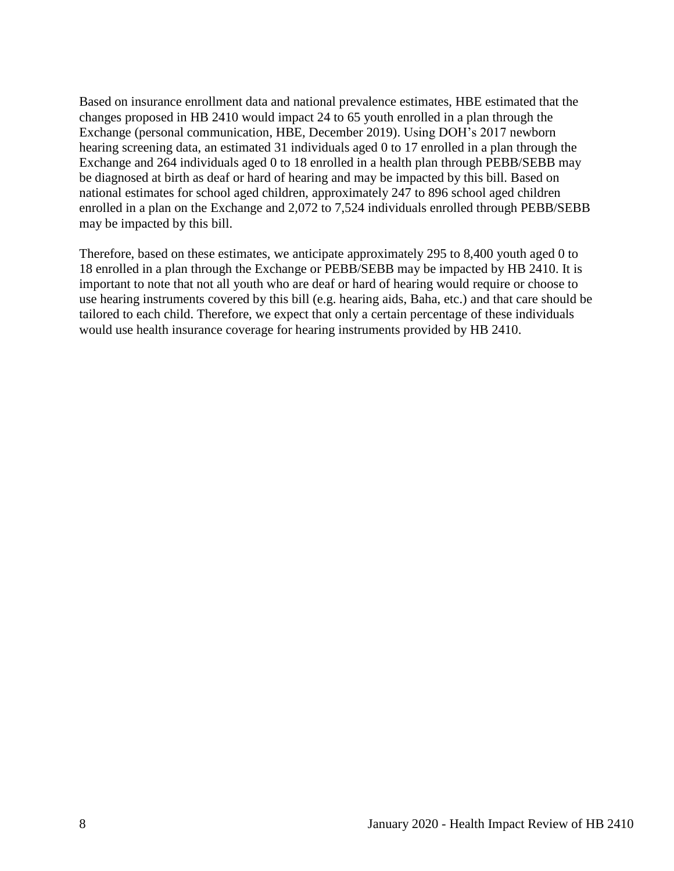Based on insurance enrollment data and national prevalence estimates, HBE estimated that the changes proposed in HB 2410 would impact 24 to 65 youth enrolled in a plan through the Exchange (personal communication, HBE, December 2019). Using DOH's 2017 newborn hearing screening data, an estimated 31 individuals aged 0 to 17 enrolled in a plan through the Exchange and 264 individuals aged 0 to 18 enrolled in a health plan through PEBB/SEBB may be diagnosed at birth as deaf or hard of hearing and may be impacted by this bill. Based on national estimates for school aged children, approximately 247 to 896 school aged children enrolled in a plan on the Exchange and 2,072 to 7,524 individuals enrolled through PEBB/SEBB may be impacted by this bill.

Therefore, based on these estimates, we anticipate approximately 295 to 8,400 youth aged 0 to 18 enrolled in a plan through the Exchange or PEBB/SEBB may be impacted by HB 2410. It is important to note that not all youth who are deaf or hard of hearing would require or choose to use hearing instruments covered by this bill (e.g. hearing aids, Baha, etc.) and that care should be tailored to each child. Therefore, we expect that only a certain percentage of these individuals would use health insurance coverage for hearing instruments provided by HB 2410.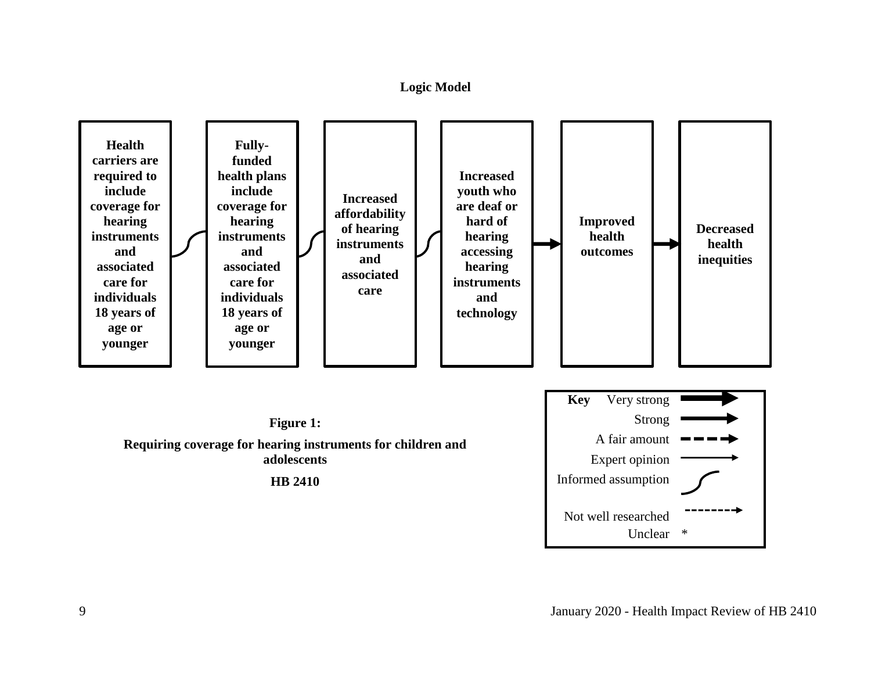#### **Logic Model**

<span id="page-10-0"></span>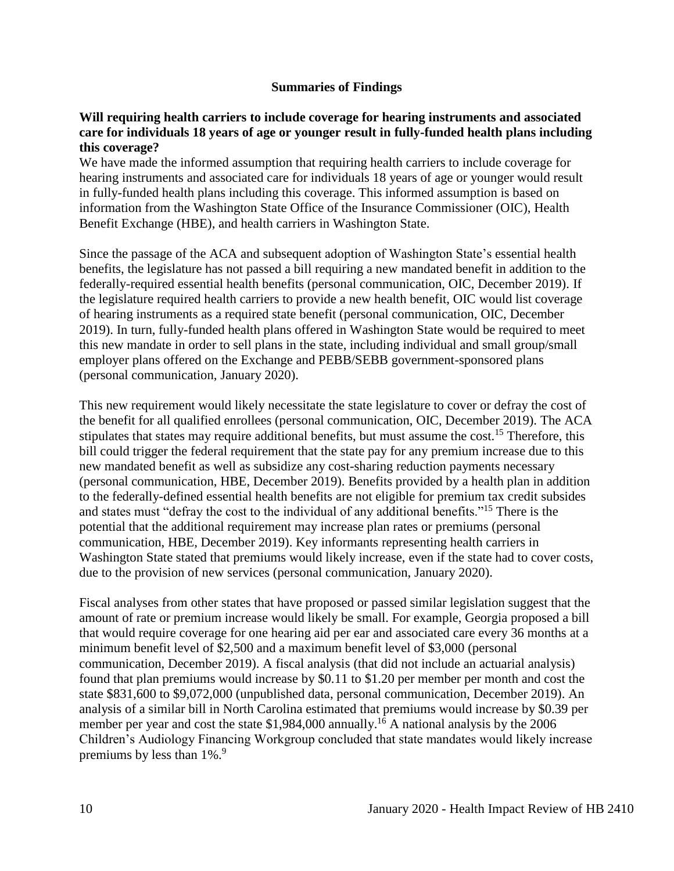#### **Summaries of Findings**

#### <span id="page-11-0"></span>**Will requiring health carriers to include coverage for hearing instruments and associated care for individuals 18 years of age or younger result in fully-funded health plans including this coverage?**

We have made the informed assumption that requiring health carriers to include coverage for hearing instruments and associated care for individuals 18 years of age or younger would result in fully-funded health plans including this coverage. This informed assumption is based on information from the Washington State Office of the Insurance Commissioner (OIC), Health Benefit Exchange (HBE), and health carriers in Washington State.

Since the passage of the ACA and subsequent adoption of Washington State's essential health benefits, the legislature has not passed a bill requiring a new mandated benefit in addition to the federally-required essential health benefits (personal communication, OIC, December 2019). If the legislature required health carriers to provide a new health benefit, OIC would list coverage of hearing instruments as a required state benefit (personal communication, OIC, December 2019). In turn, fully-funded health plans offered in Washington State would be required to meet this new mandate in order to sell plans in the state, including individual and small group/small employer plans offered on the Exchange and PEBB/SEBB government-sponsored plans (personal communication, January 2020).

This new requirement would likely necessitate the state legislature to cover or defray the cost of the benefit for all qualified enrollees (personal communication, OIC, December 2019). The ACA stipulates that states may require additional benefits, but must assume the cost.<sup>15</sup> Therefore, this bill could trigger the federal requirement that the state pay for any premium increase due to this new mandated benefit as well as subsidize any cost-sharing reduction payments necessary (personal communication, HBE, December 2019). Benefits provided by a health plan in addition to the federally-defined essential health benefits are not eligible for premium tax credit subsides and states must "defray the cost to the individual of any additional benefits."<sup>15</sup> There is the potential that the additional requirement may increase plan rates or premiums (personal communication, HBE, December 2019). Key informants representing health carriers in Washington State stated that premiums would likely increase, even if the state had to cover costs, due to the provision of new services (personal communication, January 2020).

Fiscal analyses from other states that have proposed or passed similar legislation suggest that the amount of rate or premium increase would likely be small. For example, Georgia proposed a bill that would require coverage for one hearing aid per ear and associated care every 36 months at a minimum benefit level of \$2,500 and a maximum benefit level of \$3,000 (personal communication, December 2019). A fiscal analysis (that did not include an actuarial analysis) found that plan premiums would increase by \$0.11 to \$1.20 per member per month and cost the state \$831,600 to \$9,072,000 (unpublished data, personal communication, December 2019). An analysis of a similar bill in North Carolina estimated that premiums would increase by \$0.39 per member per year and cost the state \$1,984,000 annually.<sup>16</sup> A national analysis by the 2006 Children's Audiology Financing Workgroup concluded that state mandates would likely increase premiums by less than  $1\%$ .<sup>9</sup>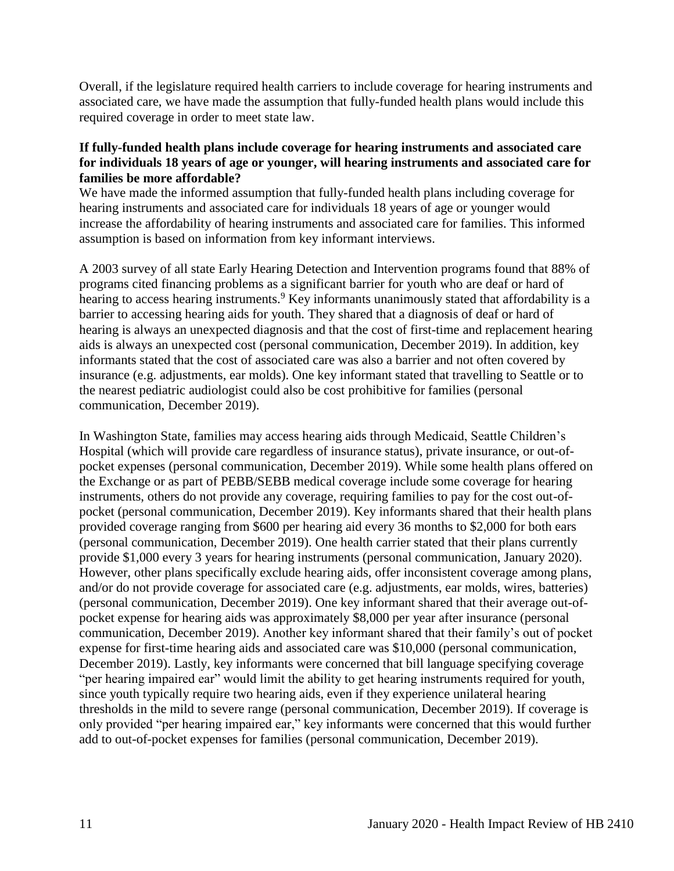Overall, if the legislature required health carriers to include coverage for hearing instruments and associated care, we have made the assumption that fully-funded health plans would include this required coverage in order to meet state law.

#### **If fully-funded health plans include coverage for hearing instruments and associated care for individuals 18 years of age or younger, will hearing instruments and associated care for families be more affordable?**

We have made the informed assumption that fully-funded health plans including coverage for hearing instruments and associated care for individuals 18 years of age or younger would increase the affordability of hearing instruments and associated care for families. This informed assumption is based on information from key informant interviews.

A 2003 survey of all state Early Hearing Detection and Intervention programs found that 88% of programs cited financing problems as a significant barrier for youth who are deaf or hard of hearing to access hearing instruments.<sup>9</sup> Key informants unanimously stated that affordability is a barrier to accessing hearing aids for youth. They shared that a diagnosis of deaf or hard of hearing is always an unexpected diagnosis and that the cost of first-time and replacement hearing aids is always an unexpected cost (personal communication, December 2019). In addition, key informants stated that the cost of associated care was also a barrier and not often covered by insurance (e.g. adjustments, ear molds). One key informant stated that travelling to Seattle or to the nearest pediatric audiologist could also be cost prohibitive for families (personal communication, December 2019).

In Washington State, families may access hearing aids through Medicaid, Seattle Children's Hospital (which will provide care regardless of insurance status), private insurance, or out-ofpocket expenses (personal communication, December 2019). While some health plans offered on the Exchange or as part of PEBB/SEBB medical coverage include some coverage for hearing instruments, others do not provide any coverage, requiring families to pay for the cost out-ofpocket (personal communication, December 2019). Key informants shared that their health plans provided coverage ranging from \$600 per hearing aid every 36 months to \$2,000 for both ears (personal communication, December 2019). One health carrier stated that their plans currently provide \$1,000 every 3 years for hearing instruments (personal communication, January 2020). However, other plans specifically exclude hearing aids, offer inconsistent coverage among plans, and/or do not provide coverage for associated care (e.g. adjustments, ear molds, wires, batteries) (personal communication, December 2019). One key informant shared that their average out-ofpocket expense for hearing aids was approximately \$8,000 per year after insurance (personal communication, December 2019). Another key informant shared that their family's out of pocket expense for first-time hearing aids and associated care was \$10,000 (personal communication, December 2019). Lastly, key informants were concerned that bill language specifying coverage "per hearing impaired ear" would limit the ability to get hearing instruments required for youth, since youth typically require two hearing aids, even if they experience unilateral hearing thresholds in the mild to severe range (personal communication, December 2019). If coverage is only provided "per hearing impaired ear," key informants were concerned that this would further add to out-of-pocket expenses for families (personal communication, December 2019).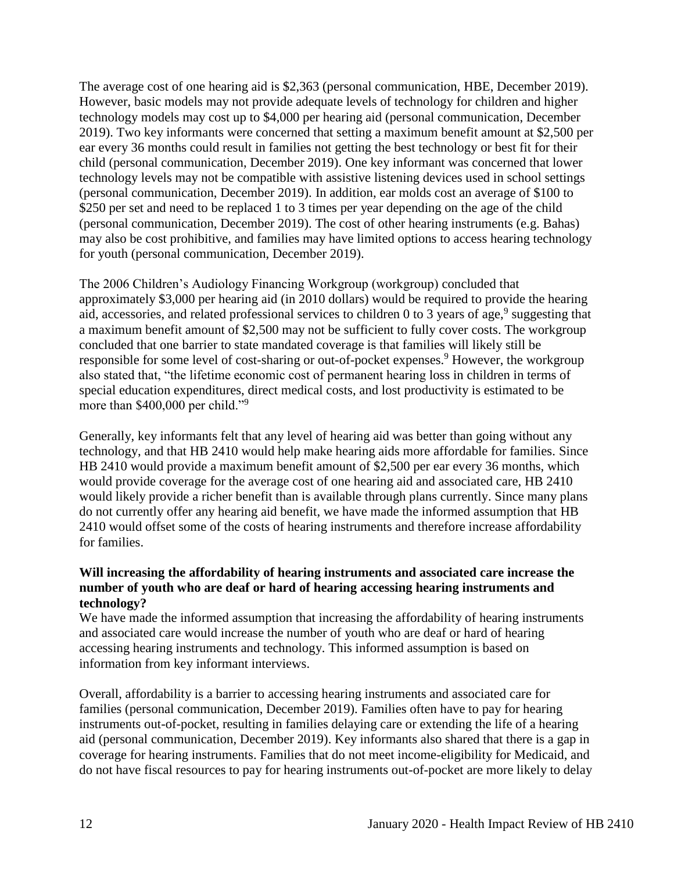The average cost of one hearing aid is \$2,363 (personal communication, HBE, December 2019). However, basic models may not provide adequate levels of technology for children and higher technology models may cost up to \$4,000 per hearing aid (personal communication, December 2019). Two key informants were concerned that setting a maximum benefit amount at \$2,500 per ear every 36 months could result in families not getting the best technology or best fit for their child (personal communication, December 2019). One key informant was concerned that lower technology levels may not be compatible with assistive listening devices used in school settings (personal communication, December 2019). In addition, ear molds cost an average of \$100 to \$250 per set and need to be replaced 1 to 3 times per year depending on the age of the child (personal communication, December 2019). The cost of other hearing instruments (e.g. Bahas) may also be cost prohibitive, and families may have limited options to access hearing technology for youth (personal communication, December 2019).

The 2006 Children's Audiology Financing Workgroup (workgroup) concluded that approximately \$3,000 per hearing aid (in 2010 dollars) would be required to provide the hearing aid, accessories, and related professional services to children  $0$  to  $3$  years of age,<sup>9</sup> suggesting that a maximum benefit amount of \$2,500 may not be sufficient to fully cover costs. The workgroup concluded that one barrier to state mandated coverage is that families will likely still be responsible for some level of cost-sharing or out-of-pocket expenses.<sup>9</sup> However, the workgroup also stated that, "the lifetime economic cost of permanent hearing loss in children in terms of special education expenditures, direct medical costs, and lost productivity is estimated to be more than \$400,000 per child."<sup>9</sup>

Generally, key informants felt that any level of hearing aid was better than going without any technology, and that HB 2410 would help make hearing aids more affordable for families. Since HB 2410 would provide a maximum benefit amount of \$2,500 per ear every 36 months, which would provide coverage for the average cost of one hearing aid and associated care, HB 2410 would likely provide a richer benefit than is available through plans currently. Since many plans do not currently offer any hearing aid benefit, we have made the informed assumption that HB 2410 would offset some of the costs of hearing instruments and therefore increase affordability for families.

#### **Will increasing the affordability of hearing instruments and associated care increase the number of youth who are deaf or hard of hearing accessing hearing instruments and technology?**

We have made the informed assumption that increasing the affordability of hearing instruments and associated care would increase the number of youth who are deaf or hard of hearing accessing hearing instruments and technology. This informed assumption is based on information from key informant interviews.

Overall, affordability is a barrier to accessing hearing instruments and associated care for families (personal communication, December 2019). Families often have to pay for hearing instruments out-of-pocket, resulting in families delaying care or extending the life of a hearing aid (personal communication, December 2019). Key informants also shared that there is a gap in coverage for hearing instruments. Families that do not meet income-eligibility for Medicaid, and do not have fiscal resources to pay for hearing instruments out-of-pocket are more likely to delay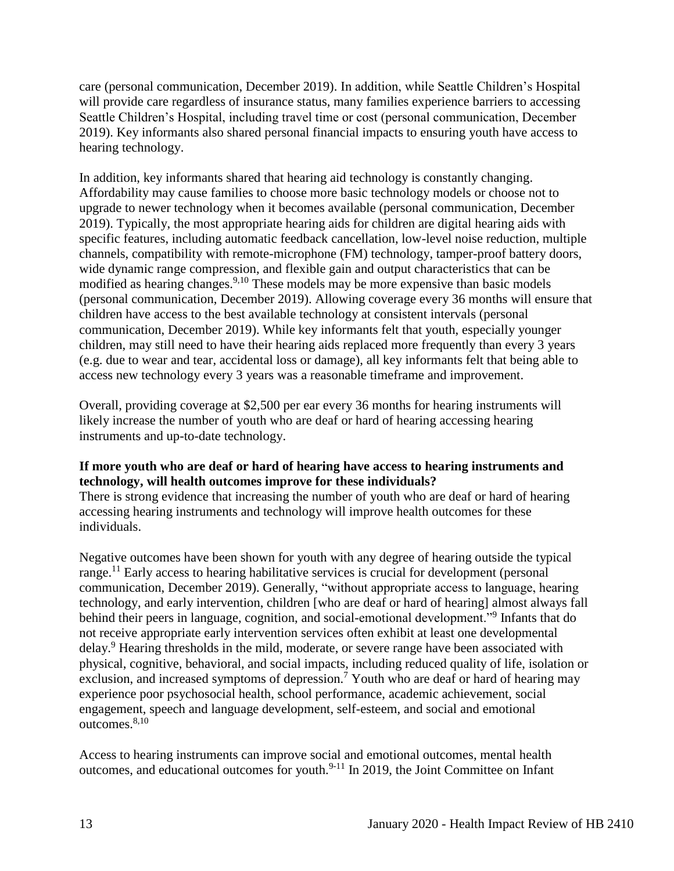care (personal communication, December 2019). In addition, while Seattle Children's Hospital will provide care regardless of insurance status, many families experience barriers to accessing Seattle Children's Hospital, including travel time or cost (personal communication, December 2019). Key informants also shared personal financial impacts to ensuring youth have access to hearing technology.

In addition, key informants shared that hearing aid technology is constantly changing. Affordability may cause families to choose more basic technology models or choose not to upgrade to newer technology when it becomes available (personal communication, December 2019). Typically, the most appropriate hearing aids for children are digital hearing aids with specific features, including automatic feedback cancellation, low-level noise reduction, multiple channels, compatibility with remote-microphone (FM) technology, tamper-proof battery doors, wide dynamic range compression, and flexible gain and output characteristics that can be modified as hearing changes.<sup>9,10</sup> These models may be more expensive than basic models (personal communication, December 2019). Allowing coverage every 36 months will ensure that children have access to the best available technology at consistent intervals (personal communication, December 2019). While key informants felt that youth, especially younger children, may still need to have their hearing aids replaced more frequently than every 3 years (e.g. due to wear and tear, accidental loss or damage), all key informants felt that being able to access new technology every 3 years was a reasonable timeframe and improvement.

Overall, providing coverage at \$2,500 per ear every 36 months for hearing instruments will likely increase the number of youth who are deaf or hard of hearing accessing hearing instruments and up-to-date technology.

#### **If more youth who are deaf or hard of hearing have access to hearing instruments and technology, will health outcomes improve for these individuals?**

There is strong evidence that increasing the number of youth who are deaf or hard of hearing accessing hearing instruments and technology will improve health outcomes for these individuals.

Negative outcomes have been shown for youth with any degree of hearing outside the typical range.<sup>11</sup> Early access to hearing habilitative services is crucial for development (personal communication, December 2019). Generally, "without appropriate access to language, hearing technology, and early intervention, children [who are deaf or hard of hearing] almost always fall behind their peers in language, cognition, and social-emotional development."<sup>9</sup> Infants that do not receive appropriate early intervention services often exhibit at least one developmental delay.<sup>9</sup> Hearing thresholds in the mild, moderate, or severe range have been associated with physical, cognitive, behavioral, and social impacts, including reduced quality of life, isolation or exclusion, and increased symptoms of depression.<sup>7</sup> Youth who are deaf or hard of hearing may experience poor psychosocial health, school performance, academic achievement, social engagement, speech and language development, self-esteem, and social and emotional outcomes. 8,10

Access to hearing instruments can improve social and emotional outcomes, mental health outcomes, and educational outcomes for youth.9-11 In 2019, the Joint Committee on Infant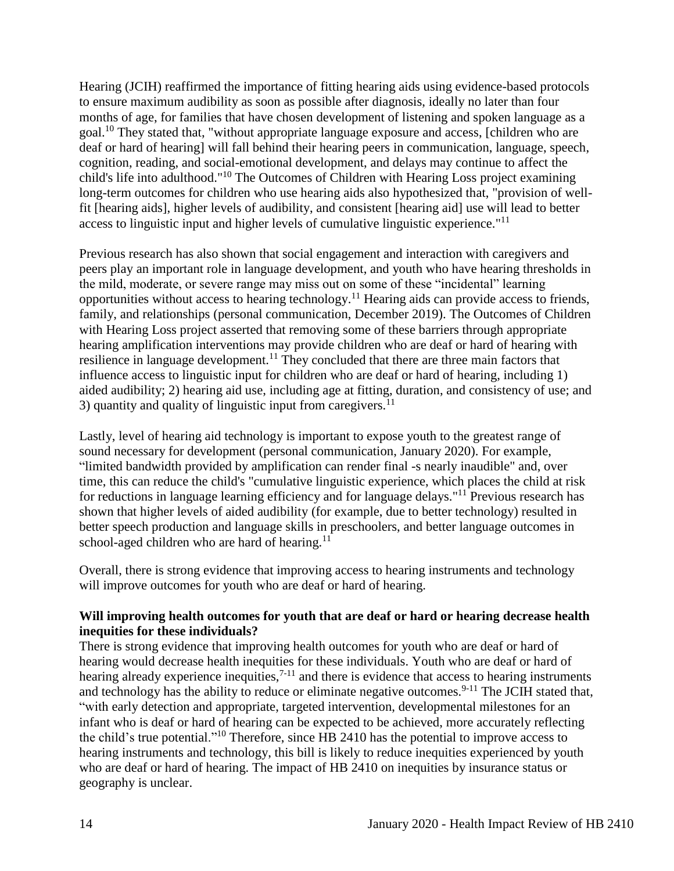Hearing (JCIH) reaffirmed the importance of fitting hearing aids using evidence-based protocols to ensure maximum audibility as soon as possible after diagnosis, ideally no later than four months of age, for families that have chosen development of listening and spoken language as a goal.<sup>10</sup> They stated that, "without appropriate language exposure and access, [children who are deaf or hard of hearing] will fall behind their hearing peers in communication, language, speech, cognition, reading, and social-emotional development, and delays may continue to affect the child's life into adulthood."<sup>10</sup> The Outcomes of Children with Hearing Loss project examining long-term outcomes for children who use hearing aids also hypothesized that, "provision of wellfit [hearing aids], higher levels of audibility, and consistent [hearing aid] use will lead to better access to linguistic input and higher levels of cumulative linguistic experience."<sup>11</sup>

Previous research has also shown that social engagement and interaction with caregivers and peers play an important role in language development, and youth who have hearing thresholds in the mild, moderate, or severe range may miss out on some of these "incidental" learning opportunities without access to hearing technology.<sup>11</sup> Hearing aids can provide access to friends, family, and relationships (personal communication, December 2019). The Outcomes of Children with Hearing Loss project asserted that removing some of these barriers through appropriate hearing amplification interventions may provide children who are deaf or hard of hearing with resilience in language development.<sup>11</sup> They concluded that there are three main factors that influence access to linguistic input for children who are deaf or hard of hearing, including 1) aided audibility; 2) hearing aid use, including age at fitting, duration, and consistency of use; and 3) quantity and quality of linguistic input from caregivers.<sup>11</sup>

Lastly, level of hearing aid technology is important to expose youth to the greatest range of sound necessary for development (personal communication, January 2020). For example, "limited bandwidth provided by amplification can render final -s nearly inaudible" and, over time, this can reduce the child's "cumulative linguistic experience, which places the child at risk for reductions in language learning efficiency and for language delays."<sup>11</sup> Previous research has shown that higher levels of aided audibility (for example, due to better technology) resulted in better speech production and language skills in preschoolers, and better language outcomes in school-aged children who are hard of hearing. $11$ 

Overall, there is strong evidence that improving access to hearing instruments and technology will improve outcomes for youth who are deaf or hard of hearing.

#### **Will improving health outcomes for youth that are deaf or hard or hearing decrease health inequities for these individuals?**

There is strong evidence that improving health outcomes for youth who are deaf or hard of hearing would decrease health inequities for these individuals. Youth who are deaf or hard of hearing already experience inequities,<sup>7-11</sup> and there is evidence that access to hearing instruments and technology has the ability to reduce or eliminate negative outcomes.<sup>9-11</sup> The JCIH stated that, "with early detection and appropriate, targeted intervention, developmental milestones for an infant who is deaf or hard of hearing can be expected to be achieved, more accurately reflecting the child's true potential."<sup>10</sup> Therefore, since HB 2410 has the potential to improve access to hearing instruments and technology, this bill is likely to reduce inequities experienced by youth who are deaf or hard of hearing. The impact of HB 2410 on inequities by insurance status or geography is unclear.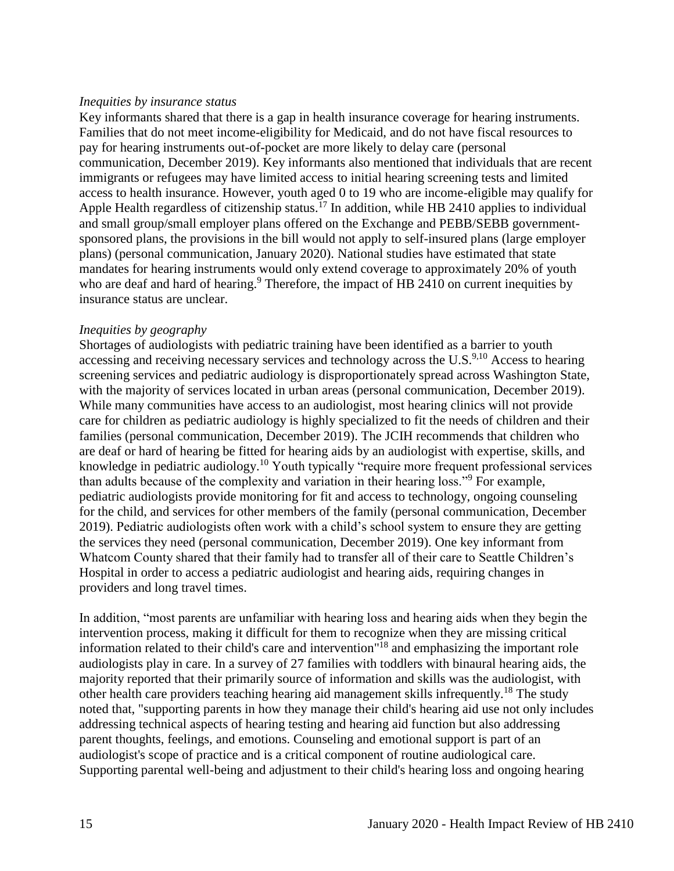#### *Inequities by insurance status*

Key informants shared that there is a gap in health insurance coverage for hearing instruments. Families that do not meet income-eligibility for Medicaid, and do not have fiscal resources to pay for hearing instruments out-of-pocket are more likely to delay care (personal communication, December 2019). Key informants also mentioned that individuals that are recent immigrants or refugees may have limited access to initial hearing screening tests and limited access to health insurance. However, youth aged 0 to 19 who are income-eligible may qualify for Apple Health regardless of citizenship status.<sup>17</sup> In addition, while HB 2410 applies to individual and small group/small employer plans offered on the Exchange and PEBB/SEBB governmentsponsored plans, the provisions in the bill would not apply to self-insured plans (large employer plans) (personal communication, January 2020). National studies have estimated that state mandates for hearing instruments would only extend coverage to approximately 20% of youth who are deaf and hard of hearing.<sup>9</sup> Therefore, the impact of HB 2410 on current inequities by insurance status are unclear.

#### *Inequities by geography*

Shortages of audiologists with pediatric training have been identified as a barrier to youth accessing and receiving necessary services and technology across the U.S.<sup>9,10</sup> Access to hearing screening services and pediatric audiology is disproportionately spread across Washington State, with the majority of services located in urban areas (personal communication, December 2019). While many communities have access to an audiologist, most hearing clinics will not provide care for children as pediatric audiology is highly specialized to fit the needs of children and their families (personal communication, December 2019). The JCIH recommends that children who are deaf or hard of hearing be fitted for hearing aids by an audiologist with expertise, skills, and knowledge in pediatric audiology.<sup>10</sup> Youth typically "require more frequent professional services than adults because of the complexity and variation in their hearing loss."<sup>9</sup> For example, pediatric audiologists provide monitoring for fit and access to technology, ongoing counseling for the child, and services for other members of the family (personal communication, December 2019). Pediatric audiologists often work with a child's school system to ensure they are getting the services they need (personal communication, December 2019). One key informant from Whatcom County shared that their family had to transfer all of their care to Seattle Children's Hospital in order to access a pediatric audiologist and hearing aids, requiring changes in providers and long travel times.

In addition, "most parents are unfamiliar with hearing loss and hearing aids when they begin the intervention process, making it difficult for them to recognize when they are missing critical information related to their child's care and intervention" <sup>18</sup> and emphasizing the important role audiologists play in care. In a survey of 27 families with toddlers with binaural hearing aids, the majority reported that their primarily source of information and skills was the audiologist, with other health care providers teaching hearing aid management skills infrequently.<sup>18</sup> The study noted that, "supporting parents in how they manage their child's hearing aid use not only includes addressing technical aspects of hearing testing and hearing aid function but also addressing parent thoughts, feelings, and emotions. Counseling and emotional support is part of an audiologist's scope of practice and is a critical component of routine audiological care. Supporting parental well-being and adjustment to their child's hearing loss and ongoing hearing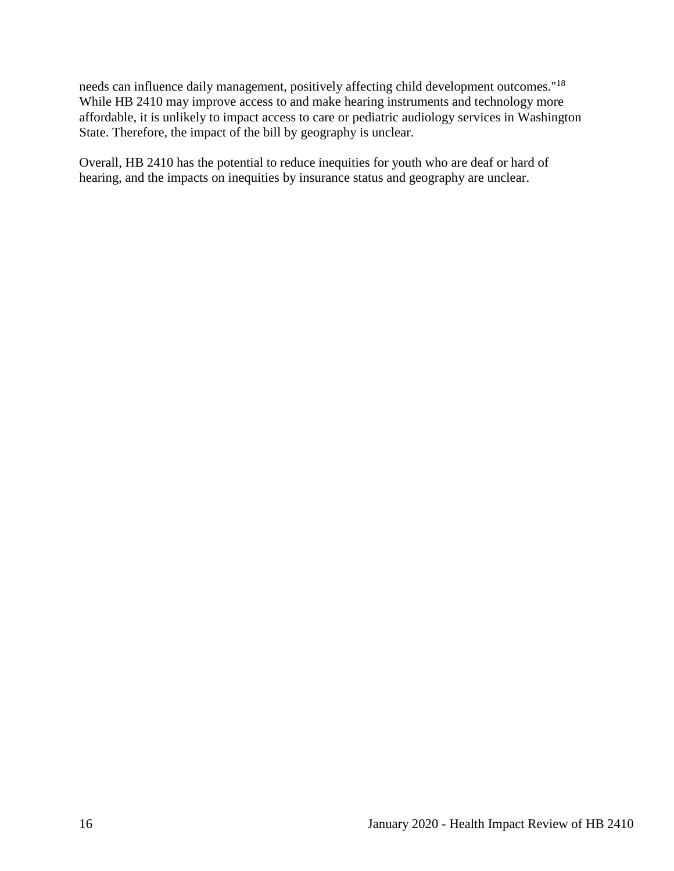needs can influence daily management, positively affecting child development outcomes."<sup>18</sup> While HB 2410 may improve access to and make hearing instruments and technology more affordable, it is unlikely to impact access to care or pediatric audiology services in Washington State. Therefore, the impact of the bill by geography is unclear.

<span id="page-17-0"></span>Overall, HB 2410 has the potential to reduce inequities for youth who are deaf or hard of hearing, and the impacts on inequities by insurance status and geography are unclear.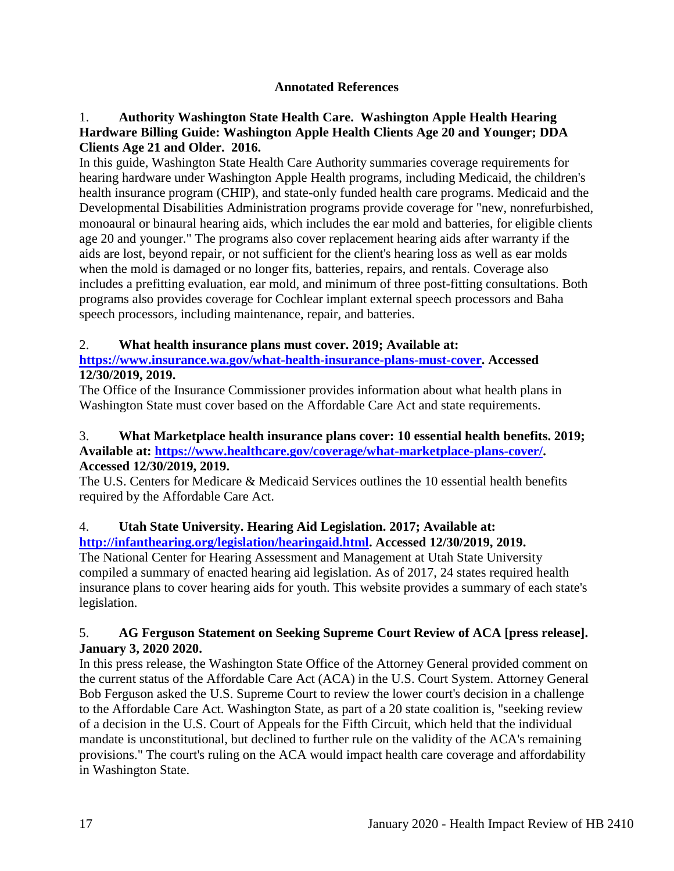## **Annotated References**

## 1. **Authority Washington State Health Care. Washington Apple Health Hearing Hardware Billing Guide: Washington Apple Health Clients Age 20 and Younger; DDA Clients Age 21 and Older. 2016.**

In this guide, Washington State Health Care Authority summaries coverage requirements for hearing hardware under Washington Apple Health programs, including Medicaid, the children's health insurance program (CHIP), and state-only funded health care programs. Medicaid and the Developmental Disabilities Administration programs provide coverage for "new, nonrefurbished, monoaural or binaural hearing aids, which includes the ear mold and batteries, for eligible clients age 20 and younger." The programs also cover replacement hearing aids after warranty if the aids are lost, beyond repair, or not sufficient for the client's hearing loss as well as ear molds when the mold is damaged or no longer fits, batteries, repairs, and rentals. Coverage also includes a prefitting evaluation, ear mold, and minimum of three post-fitting consultations. Both programs also provides coverage for Cochlear implant external speech processors and Baha speech processors, including maintenance, repair, and batteries.

## 2. **What health insurance plans must cover. 2019; Available at:**

## **[https://www.insurance.wa.gov/what-health-insurance-plans-must-cover.](https://www.insurance.wa.gov/what-health-insurance-plans-must-cover) Accessed 12/30/2019, 2019.**

The Office of the Insurance Commissioner provides information about what health plans in Washington State must cover based on the Affordable Care Act and state requirements.

#### 3. **What Marketplace health insurance plans cover: 10 essential health benefits. 2019; Available at: [https://www.healthcare.gov/coverage/what-marketplace-plans-cover/.](https://www.healthcare.gov/coverage/what-marketplace-plans-cover/) Accessed 12/30/2019, 2019.**

The U.S. Centers for Medicare & Medicaid Services outlines the 10 essential health benefits required by the Affordable Care Act.

# 4. **Utah State University. Hearing Aid Legislation. 2017; Available at:**

## **[http://infanthearing.org/legislation/hearingaid.html.](http://infanthearing.org/legislation/hearingaid.html) Accessed 12/30/2019, 2019.**

The National Center for Hearing Assessment and Management at Utah State University compiled a summary of enacted hearing aid legislation. As of 2017, 24 states required health insurance plans to cover hearing aids for youth. This website provides a summary of each state's legislation.

## 5. **AG Ferguson Statement on Seeking Supreme Court Review of ACA [press release]. January 3, 2020 2020.**

In this press release, the Washington State Office of the Attorney General provided comment on the current status of the Affordable Care Act (ACA) in the U.S. Court System. Attorney General Bob Ferguson asked the U.S. Supreme Court to review the lower court's decision in a challenge to the Affordable Care Act. Washington State, as part of a 20 state coalition is, "seeking review of a decision in the U.S. Court of Appeals for the Fifth Circuit, which held that the individual mandate is unconstitutional, but declined to further rule on the validity of the ACA's remaining provisions." The court's ruling on the ACA would impact health care coverage and affordability in Washington State.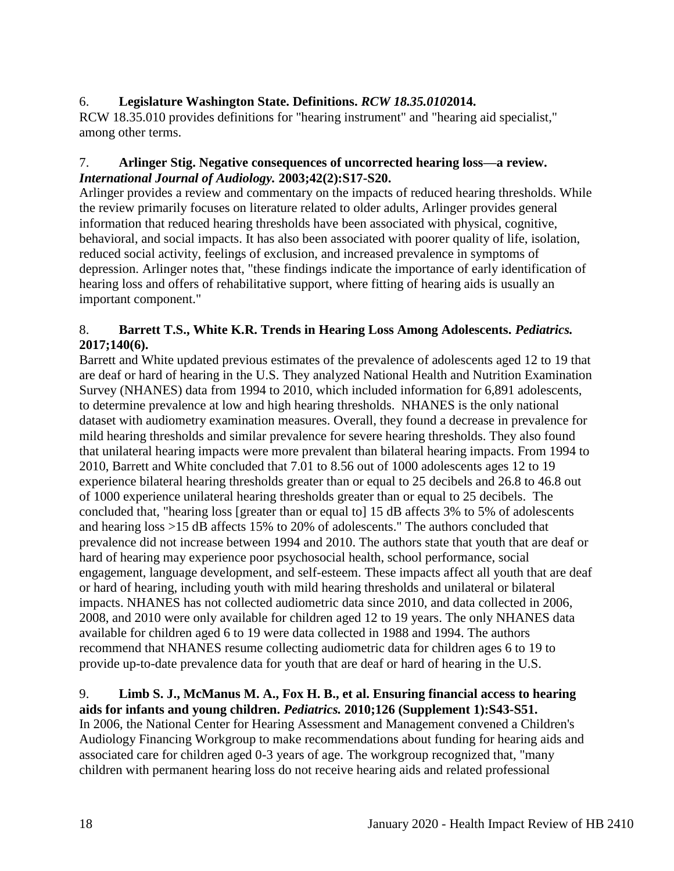## 6. **Legislature Washington State. Definitions.** *RCW 18.35.010***2014.**

RCW 18.35.010 provides definitions for "hearing instrument" and "hearing aid specialist," among other terms.

#### 7. **Arlinger Stig. Negative consequences of uncorrected hearing loss—a review.**  *International Journal of Audiology.* **2003;42(2):S17-S20.**

Arlinger provides a review and commentary on the impacts of reduced hearing thresholds. While the review primarily focuses on literature related to older adults, Arlinger provides general information that reduced hearing thresholds have been associated with physical, cognitive, behavioral, and social impacts. It has also been associated with poorer quality of life, isolation, reduced social activity, feelings of exclusion, and increased prevalence in symptoms of depression. Arlinger notes that, "these findings indicate the importance of early identification of hearing loss and offers of rehabilitative support, where fitting of hearing aids is usually an important component."

## 8. **Barrett T.S., White K.R. Trends in Hearing Loss Among Adolescents.** *Pediatrics.*  **2017;140(6).**

Barrett and White updated previous estimates of the prevalence of adolescents aged 12 to 19 that are deaf or hard of hearing in the U.S. They analyzed National Health and Nutrition Examination Survey (NHANES) data from 1994 to 2010, which included information for 6,891 adolescents, to determine prevalence at low and high hearing thresholds. NHANES is the only national dataset with audiometry examination measures. Overall, they found a decrease in prevalence for mild hearing thresholds and similar prevalence for severe hearing thresholds. They also found that unilateral hearing impacts were more prevalent than bilateral hearing impacts. From 1994 to 2010, Barrett and White concluded that 7.01 to 8.56 out of 1000 adolescents ages 12 to 19 experience bilateral hearing thresholds greater than or equal to 25 decibels and 26.8 to 46.8 out of 1000 experience unilateral hearing thresholds greater than or equal to 25 decibels. The concluded that, "hearing loss [greater than or equal to] 15 dB affects 3% to 5% of adolescents and hearing loss >15 dB affects 15% to 20% of adolescents." The authors concluded that prevalence did not increase between 1994 and 2010. The authors state that youth that are deaf or hard of hearing may experience poor psychosocial health, school performance, social engagement, language development, and self-esteem. These impacts affect all youth that are deaf or hard of hearing, including youth with mild hearing thresholds and unilateral or bilateral impacts. NHANES has not collected audiometric data since 2010, and data collected in 2006, 2008, and 2010 were only available for children aged 12 to 19 years. The only NHANES data available for children aged 6 to 19 were data collected in 1988 and 1994. The authors recommend that NHANES resume collecting audiometric data for children ages 6 to 19 to provide up-to-date prevalence data for youth that are deaf or hard of hearing in the U.S.

#### 9. **Limb S. J., McManus M. A., Fox H. B., et al. Ensuring financial access to hearing aids for infants and young children.** *Pediatrics.* **2010;126 (Supplement 1):S43-S51.**

In 2006, the National Center for Hearing Assessment and Management convened a Children's Audiology Financing Workgroup to make recommendations about funding for hearing aids and associated care for children aged 0-3 years of age. The workgroup recognized that, "many children with permanent hearing loss do not receive hearing aids and related professional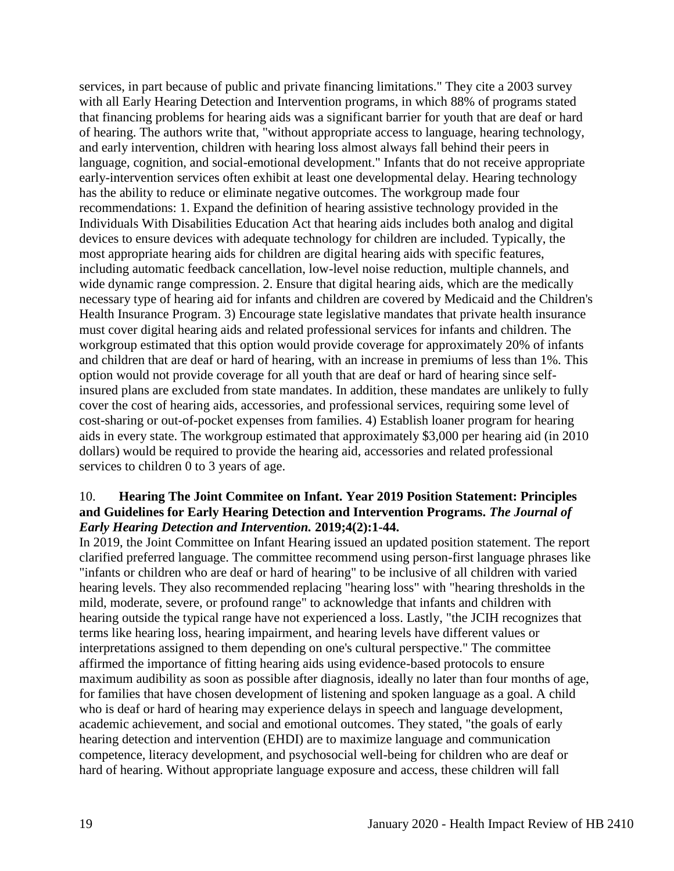services, in part because of public and private financing limitations." They cite a 2003 survey with all Early Hearing Detection and Intervention programs, in which 88% of programs stated that financing problems for hearing aids was a significant barrier for youth that are deaf or hard of hearing. The authors write that, "without appropriate access to language, hearing technology, and early intervention, children with hearing loss almost always fall behind their peers in language, cognition, and social-emotional development." Infants that do not receive appropriate early-intervention services often exhibit at least one developmental delay. Hearing technology has the ability to reduce or eliminate negative outcomes. The workgroup made four recommendations: 1. Expand the definition of hearing assistive technology provided in the Individuals With Disabilities Education Act that hearing aids includes both analog and digital devices to ensure devices with adequate technology for children are included. Typically, the most appropriate hearing aids for children are digital hearing aids with specific features, including automatic feedback cancellation, low-level noise reduction, multiple channels, and wide dynamic range compression. 2. Ensure that digital hearing aids, which are the medically necessary type of hearing aid for infants and children are covered by Medicaid and the Children's Health Insurance Program. 3) Encourage state legislative mandates that private health insurance must cover digital hearing aids and related professional services for infants and children. The workgroup estimated that this option would provide coverage for approximately 20% of infants and children that are deaf or hard of hearing, with an increase in premiums of less than 1%. This option would not provide coverage for all youth that are deaf or hard of hearing since selfinsured plans are excluded from state mandates. In addition, these mandates are unlikely to fully cover the cost of hearing aids, accessories, and professional services, requiring some level of cost-sharing or out-of-pocket expenses from families. 4) Establish loaner program for hearing aids in every state. The workgroup estimated that approximately \$3,000 per hearing aid (in 2010 dollars) would be required to provide the hearing aid, accessories and related professional services to children 0 to 3 years of age.

#### 10. **Hearing The Joint Commitee on Infant. Year 2019 Position Statement: Principles and Guidelines for Early Hearing Detection and Intervention Programs.** *The Journal of Early Hearing Detection and Intervention.* **2019;4(2):1-44.**

In 2019, the Joint Committee on Infant Hearing issued an updated position statement. The report clarified preferred language. The committee recommend using person-first language phrases like "infants or children who are deaf or hard of hearing" to be inclusive of all children with varied hearing levels. They also recommended replacing "hearing loss" with "hearing thresholds in the mild, moderate, severe, or profound range" to acknowledge that infants and children with hearing outside the typical range have not experienced a loss. Lastly, "the JCIH recognizes that terms like hearing loss, hearing impairment, and hearing levels have different values or interpretations assigned to them depending on one's cultural perspective." The committee affirmed the importance of fitting hearing aids using evidence-based protocols to ensure maximum audibility as soon as possible after diagnosis, ideally no later than four months of age, for families that have chosen development of listening and spoken language as a goal. A child who is deaf or hard of hearing may experience delays in speech and language development, academic achievement, and social and emotional outcomes. They stated, "the goals of early hearing detection and intervention (EHDI) are to maximize language and communication competence, literacy development, and psychosocial well-being for children who are deaf or hard of hearing. Without appropriate language exposure and access, these children will fall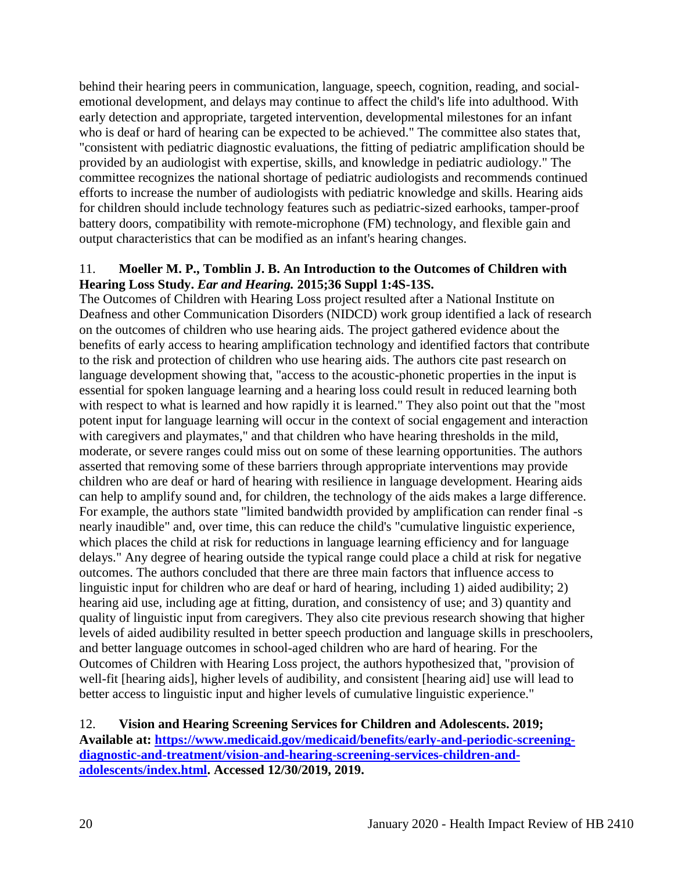behind their hearing peers in communication, language, speech, cognition, reading, and socialemotional development, and delays may continue to affect the child's life into adulthood. With early detection and appropriate, targeted intervention, developmental milestones for an infant who is deaf or hard of hearing can be expected to be achieved." The committee also states that, "consistent with pediatric diagnostic evaluations, the fitting of pediatric amplification should be provided by an audiologist with expertise, skills, and knowledge in pediatric audiology." The committee recognizes the national shortage of pediatric audiologists and recommends continued efforts to increase the number of audiologists with pediatric knowledge and skills. Hearing aids for children should include technology features such as pediatric-sized earhooks, tamper-proof battery doors, compatibility with remote-microphone (FM) technology, and flexible gain and output characteristics that can be modified as an infant's hearing changes.

#### 11. **Moeller M. P., Tomblin J. B. An Introduction to the Outcomes of Children with Hearing Loss Study.** *Ear and Hearing.* **2015;36 Suppl 1:4S-13S.**

The Outcomes of Children with Hearing Loss project resulted after a National Institute on Deafness and other Communication Disorders (NIDCD) work group identified a lack of research on the outcomes of children who use hearing aids. The project gathered evidence about the benefits of early access to hearing amplification technology and identified factors that contribute to the risk and protection of children who use hearing aids. The authors cite past research on language development showing that, "access to the acoustic-phonetic properties in the input is essential for spoken language learning and a hearing loss could result in reduced learning both with respect to what is learned and how rapidly it is learned." They also point out that the "most" potent input for language learning will occur in the context of social engagement and interaction with caregivers and playmates," and that children who have hearing thresholds in the mild, moderate, or severe ranges could miss out on some of these learning opportunities. The authors asserted that removing some of these barriers through appropriate interventions may provide children who are deaf or hard of hearing with resilience in language development. Hearing aids can help to amplify sound and, for children, the technology of the aids makes a large difference. For example, the authors state "limited bandwidth provided by amplification can render final -s nearly inaudible" and, over time, this can reduce the child's "cumulative linguistic experience, which places the child at risk for reductions in language learning efficiency and for language delays." Any degree of hearing outside the typical range could place a child at risk for negative outcomes. The authors concluded that there are three main factors that influence access to linguistic input for children who are deaf or hard of hearing, including 1) aided audibility; 2) hearing aid use, including age at fitting, duration, and consistency of use; and 3) quantity and quality of linguistic input from caregivers. They also cite previous research showing that higher levels of aided audibility resulted in better speech production and language skills in preschoolers, and better language outcomes in school-aged children who are hard of hearing. For the Outcomes of Children with Hearing Loss project, the authors hypothesized that, "provision of well-fit [hearing aids], higher levels of audibility, and consistent [hearing aid] use will lead to better access to linguistic input and higher levels of cumulative linguistic experience."

## 12. **Vision and Hearing Screening Services for Children and Adolescents. 2019; Available at: [https://www.medicaid.gov/medicaid/benefits/early-and-periodic-screening](https://www.medicaid.gov/medicaid/benefits/early-and-periodic-screening-diagnostic-and-treatment/vision-and-hearing-screening-services-children-and-adolescents/index.html)[diagnostic-and-treatment/vision-and-hearing-screening-services-children-and](https://www.medicaid.gov/medicaid/benefits/early-and-periodic-screening-diagnostic-and-treatment/vision-and-hearing-screening-services-children-and-adolescents/index.html)[adolescents/index.html.](https://www.medicaid.gov/medicaid/benefits/early-and-periodic-screening-diagnostic-and-treatment/vision-and-hearing-screening-services-children-and-adolescents/index.html) Accessed 12/30/2019, 2019.**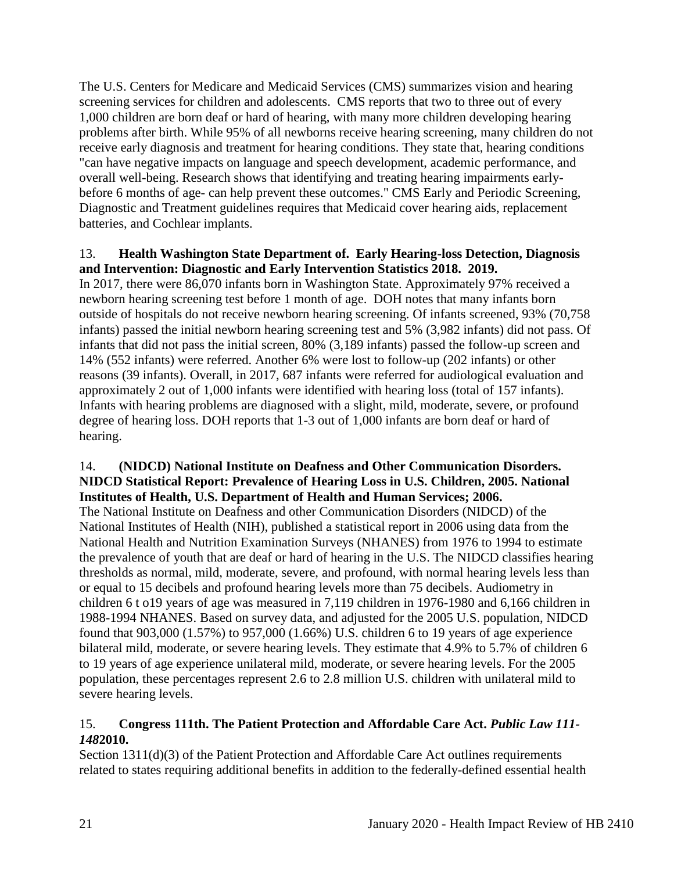The U.S. Centers for Medicare and Medicaid Services (CMS) summarizes vision and hearing screening services for children and adolescents. CMS reports that two to three out of every 1,000 children are born deaf or hard of hearing, with many more children developing hearing problems after birth. While 95% of all newborns receive hearing screening, many children do not receive early diagnosis and treatment for hearing conditions. They state that, hearing conditions "can have negative impacts on language and speech development, academic performance, and overall well-being. Research shows that identifying and treating hearing impairments earlybefore 6 months of age- can help prevent these outcomes." CMS Early and Periodic Screening, Diagnostic and Treatment guidelines requires that Medicaid cover hearing aids, replacement batteries, and Cochlear implants.

#### 13. **Health Washington State Department of. Early Hearing-loss Detection, Diagnosis and Intervention: Diagnostic and Early Intervention Statistics 2018. 2019.**

In 2017, there were 86,070 infants born in Washington State. Approximately 97% received a newborn hearing screening test before 1 month of age. DOH notes that many infants born outside of hospitals do not receive newborn hearing screening. Of infants screened, 93% (70,758 infants) passed the initial newborn hearing screening test and 5% (3,982 infants) did not pass. Of infants that did not pass the initial screen, 80% (3,189 infants) passed the follow-up screen and 14% (552 infants) were referred. Another 6% were lost to follow-up (202 infants) or other reasons (39 infants). Overall, in 2017, 687 infants were referred for audiological evaluation and approximately 2 out of 1,000 infants were identified with hearing loss (total of 157 infants). Infants with hearing problems are diagnosed with a slight, mild, moderate, severe, or profound degree of hearing loss. DOH reports that 1-3 out of 1,000 infants are born deaf or hard of hearing.

## 14. **(NIDCD) National Institute on Deafness and Other Communication Disorders. NIDCD Statistical Report: Prevalence of Hearing Loss in U.S. Children, 2005. National Institutes of Health, U.S. Department of Health and Human Services; 2006.**

The National Institute on Deafness and other Communication Disorders (NIDCD) of the National Institutes of Health (NIH), published a statistical report in 2006 using data from the National Health and Nutrition Examination Surveys (NHANES) from 1976 to 1994 to estimate the prevalence of youth that are deaf or hard of hearing in the U.S. The NIDCD classifies hearing thresholds as normal, mild, moderate, severe, and profound, with normal hearing levels less than or equal to 15 decibels and profound hearing levels more than 75 decibels. Audiometry in children 6 t o19 years of age was measured in 7,119 children in 1976-1980 and 6,166 children in 1988-1994 NHANES. Based on survey data, and adjusted for the 2005 U.S. population, NIDCD found that 903,000 (1.57%) to 957,000 (1.66%) U.S. children 6 to 19 years of age experience bilateral mild, moderate, or severe hearing levels. They estimate that 4.9% to 5.7% of children 6 to 19 years of age experience unilateral mild, moderate, or severe hearing levels. For the 2005 population, these percentages represent 2.6 to 2.8 million U.S. children with unilateral mild to severe hearing levels.

## 15. **Congress 111th. The Patient Protection and Affordable Care Act.** *Public Law 111- 148***2010.**

Section 1311(d)(3) of the Patient Protection and Affordable Care Act outlines requirements related to states requiring additional benefits in addition to the federally-defined essential health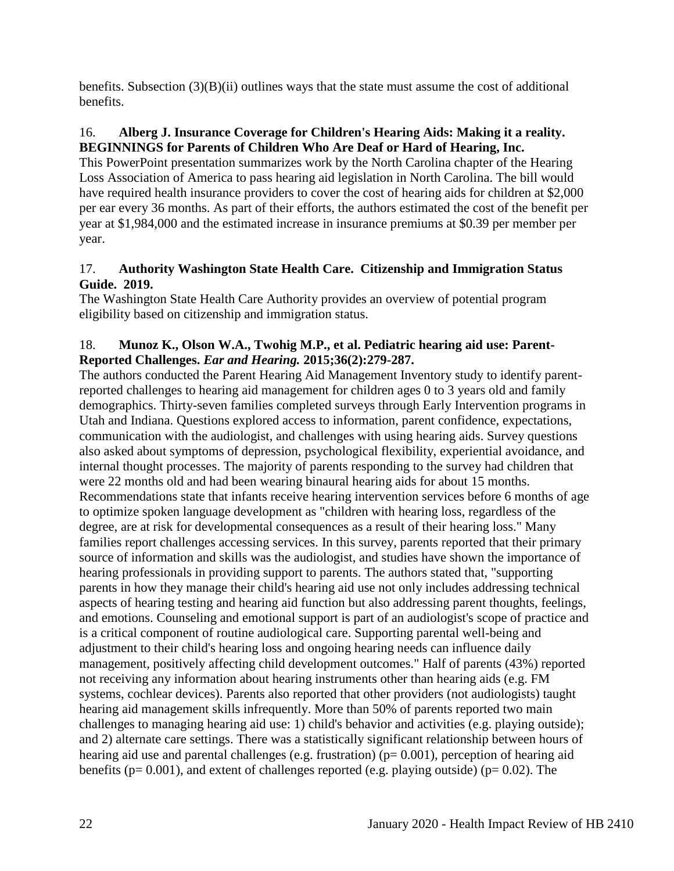benefits. Subsection  $(3)(B)(ii)$  outlines ways that the state must assume the cost of additional benefits.

## 16. **Alberg J. Insurance Coverage for Children's Hearing Aids: Making it a reality. BEGINNINGS for Parents of Children Who Are Deaf or Hard of Hearing, Inc.**

This PowerPoint presentation summarizes work by the North Carolina chapter of the Hearing Loss Association of America to pass hearing aid legislation in North Carolina. The bill would have required health insurance providers to cover the cost of hearing aids for children at \$2,000 per ear every 36 months. As part of their efforts, the authors estimated the cost of the benefit per year at \$1,984,000 and the estimated increase in insurance premiums at \$0.39 per member per year.

## 17. **Authority Washington State Health Care. Citizenship and Immigration Status Guide. 2019.**

The Washington State Health Care Authority provides an overview of potential program eligibility based on citizenship and immigration status.

## 18. **Munoz K., Olson W.A., Twohig M.P., et al. Pediatric hearing aid use: Parent-Reported Challenges.** *Ear and Hearing.* **2015;36(2):279-287.**

The authors conducted the Parent Hearing Aid Management Inventory study to identify parentreported challenges to hearing aid management for children ages 0 to 3 years old and family demographics. Thirty-seven families completed surveys through Early Intervention programs in Utah and Indiana. Questions explored access to information, parent confidence, expectations, communication with the audiologist, and challenges with using hearing aids. Survey questions also asked about symptoms of depression, psychological flexibility, experiential avoidance, and internal thought processes. The majority of parents responding to the survey had children that were 22 months old and had been wearing binaural hearing aids for about 15 months. Recommendations state that infants receive hearing intervention services before 6 months of age to optimize spoken language development as "children with hearing loss, regardless of the degree, are at risk for developmental consequences as a result of their hearing loss." Many families report challenges accessing services. In this survey, parents reported that their primary source of information and skills was the audiologist, and studies have shown the importance of hearing professionals in providing support to parents. The authors stated that, "supporting parents in how they manage their child's hearing aid use not only includes addressing technical aspects of hearing testing and hearing aid function but also addressing parent thoughts, feelings, and emotions. Counseling and emotional support is part of an audiologist's scope of practice and is a critical component of routine audiological care. Supporting parental well-being and adjustment to their child's hearing loss and ongoing hearing needs can influence daily management, positively affecting child development outcomes." Half of parents (43%) reported not receiving any information about hearing instruments other than hearing aids (e.g. FM systems, cochlear devices). Parents also reported that other providers (not audiologists) taught hearing aid management skills infrequently. More than 50% of parents reported two main challenges to managing hearing aid use: 1) child's behavior and activities (e.g. playing outside); and 2) alternate care settings. There was a statistically significant relationship between hours of hearing aid use and parental challenges (e.g. frustration) ( $p= 0.001$ ), perception of hearing aid benefits ( $p= 0.001$ ), and extent of challenges reported (e.g. playing outside) ( $p= 0.02$ ). The